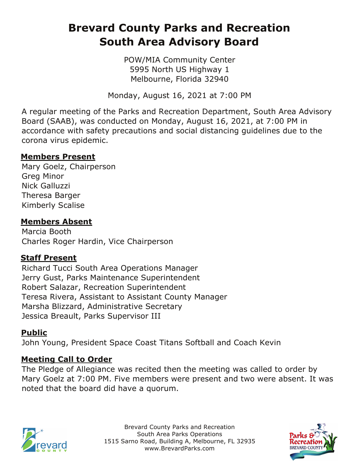# **Brevard County Parks and Recreation South Area Advisory Board**

POW/MIA Community Center 5995 North US Highway 1 Melbourne, Florida 32940

Monday, August 16, 2021 at 7:00 PM

A regular meeting of the Parks and Recreation Department, South Area Advisory Board (SAAB), was conducted on Monday, August 16, 2021, at 7:00 PM in accordance with safety precautions and social distancing guidelines due to the corona virus epidemic.

#### **Members Present**

Mary Goelz, Chairperson Greg Minor Nick Galluzzi Theresa Barger Kimberly Scalise

#### **Members Absent**

Marcia Booth Charles Roger Hardin, Vice Chairperson

## **Staff Present**

Richard Tucci South Area Operations Manager Jerry Gust, Parks Maintenance Superintendent Robert Salazar, Recreation Superintendent Teresa Rivera, Assistant to Assistant County Manager Marsha Blizzard, Administrative Secretary Jessica Breault, Parks Supervisor III

## **Public**

John Young, President Space Coast Titans Softball and Coach Kevin

## **Meeting Call to Order**

The Pledge of Allegiance was recited then the meeting was called to order by Mary Goelz at 7:00 PM. Five members were present and two were absent. It was noted that the board did have a quorum.



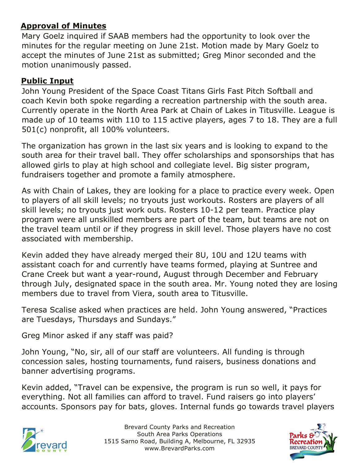#### **Approval of Minutes**

Mary Goelz inquired if SAAB members had the opportunity to look over the minutes for the regular meeting on June 21st. Motion made by Mary Goelz to accept the minutes of June 21st as submitted; Greg Minor seconded and the motion unanimously passed.

#### **Public Input**

John Young President of the Space Coast Titans Girls Fast Pitch Softball and coach Kevin both spoke regarding a recreation partnership with the south area. Currently operate in the North Area Park at Chain of Lakes in Titusville. League is made up of 10 teams with 110 to 115 active players, ages 7 to 18. They are a full 501(c) nonprofit, all 100% volunteers.

The organization has grown in the last six years and is looking to expand to the south area for their travel ball. They offer scholarships and sponsorships that has allowed girls to play at high school and collegiate level. Big sister program, fundraisers together and promote a family atmosphere.

As with Chain of Lakes, they are looking for a place to practice every week. Open to players of all skill levels; no tryouts just workouts. Rosters are players of all skill levels; no tryouts just work outs. Rosters 10-12 per team. Practice play program were all unskilled members are part of the team, but teams are not on the travel team until or if they progress in skill level. Those players have no cost associated with membership.

Kevin added they have already merged their 8U, 10U and 12U teams with assistant coach for and currently have teams formed, playing at Suntree and Crane Creek but want a year-round, August through December and February through July, designated space in the south area. Mr. Young noted they are losing members due to travel from Viera, south area to Titusville.

Teresa Scalise asked when practices are held. John Young answered, "Practices are Tuesdays, Thursdays and Sundays."

Greg Minor asked if any staff was paid?

John Young, "No, sir, all of our staff are volunteers. All funding is through concession sales, hosting tournaments, fund raisers, business donations and banner advertising programs.

Kevin added, "Travel can be expensive, the program is run so well, it pays for everything. Not all families can afford to travel. Fund raisers go into players' accounts. Sponsors pay for bats, gloves. Internal funds go towards travel players



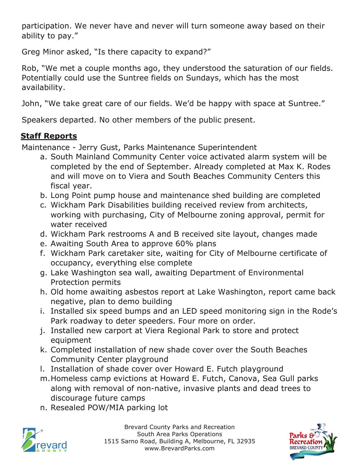participation. We never have and never will turn someone away based on their ability to pay."

Greg Minor asked, "Is there capacity to expand?"

Rob, "We met a couple months ago, they understood the saturation of our fields. Potentially could use the Suntree fields on Sundays, which has the most availability.

John, "We take great care of our fields. We'd be happy with space at Suntree."

Speakers departed. No other members of the public present.

# **Staff Reports**

Maintenance - Jerry Gust, Parks Maintenance Superintendent

- a. South Mainland Community Center voice activated alarm system will be completed by the end of September. Already completed at Max K. Rodes and will move on to Viera and South Beaches Community Centers this fiscal year.
- b. Long Point pump house and maintenance shed building are completed
- c. Wickham Park Disabilities building received review from architects, working with purchasing, City of Melbourne zoning approval, permit for water received
- d. Wickham Park restrooms A and B received site layout, changes made
- e. Awaiting South Area to approve 60% plans
- f. Wickham Park caretaker site, waiting for City of Melbourne certificate of occupancy, everything else complete
- g. Lake Washington sea wall, awaiting Department of Environmental Protection permits
- h. Old home awaiting asbestos report at Lake Washington, report came back negative, plan to demo building
- i. Installed six speed bumps and an LED speed monitoring sign in the Rode's Park roadway to deter speeders. Four more on order.
- j. Installed new carport at Viera Regional Park to store and protect equipment
- k. Completed installation of new shade cover over the South Beaches Community Center playground
- l. Installation of shade cover over Howard E. Futch playground
- m.Homeless camp evictions at Howard E. Futch, Canova, Sea Gull parks along with removal of non-native, invasive plants and dead trees to discourage future camps
- n. Resealed POW/MIA parking lot



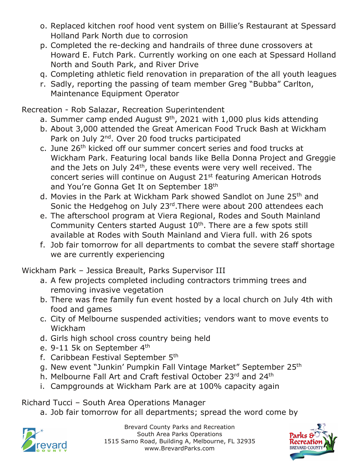- o. Replaced kitchen roof hood vent system on Billie's Restaurant at Spessard Holland Park North due to corrosion
- p. Completed the re-decking and handrails of three dune crossovers at Howard E. Futch Park. Currently working on one each at Spessard Holland North and South Park, and River Drive
- q. Completing athletic field renovation in preparation of the all youth leagues
- r. Sadly, reporting the passing of team member Greg "Bubba" Carlton, Maintenance Equipment Operator

Recreation - Rob Salazar, Recreation Superintendent

- a. Summer camp ended August  $9<sup>th</sup>$ , 2021 with 1,000 plus kids attending
- b. About 3,000 attended the Great American Food Truck Bash at Wickham Park on July 2<sup>nd</sup>. Over 20 food trucks participated
- c. June 26th kicked off our summer concert series and food trucks at Wickham Park. Featuring local bands like Bella Donna Project and Greggie and the Jets on July 24<sup>th</sup>, these events were very well received. The concert series will continue on August 21st featuring American Hotrods and You're Gonna Get It on September 18th
- d. Movies in the Park at Wickham Park showed Sandlot on June 25th and Sonic the Hedgehog on July 23<sup>rd</sup>. There were about 200 attendees each
- e. The afterschool program at Viera Regional, Rodes and South Mainland Community Centers started August 10<sup>th</sup>. There are a few spots still available at Rodes with South Mainland and Viera full. with 26 spots
- f. Job fair tomorrow for all departments to combat the severe staff shortage we are currently experiencing

Wickham Park – Jessica Breault, Parks Supervisor III

- a. A few projects completed including contractors trimming trees and removing invasive vegetation
- b. There was free family fun event hosted by a local church on July 4th with food and games
- c. City of Melbourne suspended activities; vendors want to move events to Wickham
- d. Girls high school cross country being held
- e. 9-11 5k on September 4<sup>th</sup>
- f. Caribbean Festival September 5th
- g. New event "Junkin' Pumpkin Fall Vintage Market" September 25th
- h. Melbourne Fall Art and Craft festival October 23rd and 24th
- i. Campgrounds at Wickham Park are at 100% capacity again

Richard Tucci – South Area Operations Manager

a. Job fair tomorrow for all departments; spread the word come by



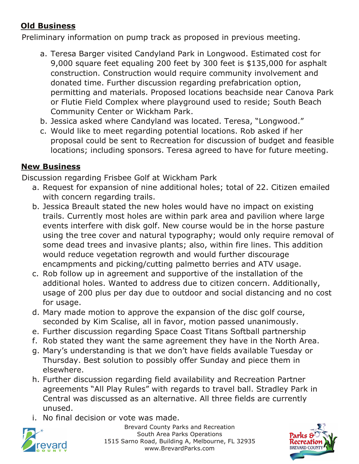## **Old Business**

Preliminary information on pump track as proposed in previous meeting.

- a. Teresa Barger visited Candyland Park in Longwood. Estimated cost for 9,000 square feet equaling 200 feet by 300 feet is \$135,000 for asphalt construction. Construction would require community involvement and donated time. Further discussion regarding prefabrication option, permitting and materials. Proposed locations beachside near Canova Park or Flutie Field Complex where playground used to reside; South Beach Community Center or Wickham Park.
- b. Jessica asked where Candyland was located. Teresa, "Longwood."
- c. Would like to meet regarding potential locations. Rob asked if her proposal could be sent to Recreation for discussion of budget and feasible locations; including sponsors. Teresa agreed to have for future meeting.

## **New Business**

Discussion regarding Frisbee Golf at Wickham Park

- a. Request for expansion of nine additional holes; total of 22. Citizen emailed with concern regarding trails.
- b. Jessica Breault stated the new holes would have no impact on existing trails. Currently most holes are within park area and pavilion where large events interfere with disk golf. New course would be in the horse pasture using the tree cover and natural typography; would only require removal of some dead trees and invasive plants; also, within fire lines. This addition would reduce vegetation regrowth and would further discourage encampments and picking/cutting palmetto berries and ATV usage.
- c. Rob follow up in agreement and supportive of the installation of the additional holes. Wanted to address due to citizen concern. Additionally, usage of 200 plus per day due to outdoor and social distancing and no cost for usage.
- d. Mary made motion to approve the expansion of the disc golf course, seconded by Kim Scalise, all in favor, motion passed unanimously.
- e. Further discussion regarding Space Coast Titans Softball partnership
- f. Rob stated they want the same agreement they have in the North Area.
- g. Mary's understanding is that we don't have fields available Tuesday or Thursday. Best solution to possibly offer Sunday and piece them in elsewhere.
- h. Further discussion regarding field availability and Recreation Partner agreements "All Play Rules" with regards to travel ball. Stradley Park in Central was discussed as an alternative. All three fields are currently unused.
- i. No final decision or vote was made.